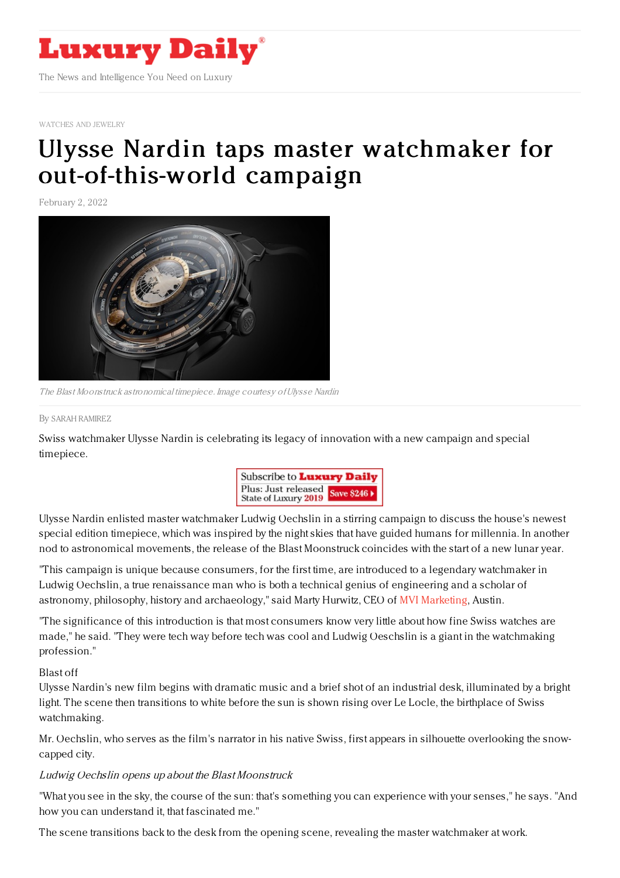

[WATCHES](https://www.luxurydaily.com/category/sectors/jewelry/) AND JEWELRY

# Ulysse Nardin taps master watchmaker for [out-of-this-world](https://www.luxurydaily.com/ulysse-nardin-blast-moonstruck/) campaign

February 2, 2022



The Blast Moonstruck astronomical timepiece. Image courtesy ofUlysse Nardin

#### By SARAH [RAMIREZ](file:///author/sarah-ramirez)

Swiss watchmaker Ulysse Nardin is celebrating its legacy of innovation with a new campaign and special timepiece.



Ulysse Nardin enlisted master watchmaker Ludwig Oechslin in a stirring campaign to discuss the house's newest special edition timepiece, which was inspired by the night skies that have guided humans for millennia. In another nod to astronomical movements, the release of the Blast Moonstruck coincides with the start of a new lunar year.

"This campaign is unique because consumers, for the first time, are introduced to a legendary watchmaker in Ludwig Oechslin, a true renaissance man who is both a technical genius of engineering and a scholar of astronomy, philosophy, history and archaeology," said Marty Hurwitz, CEO of MVI [Marketing](https://www.themveye.com/), Austin.

"The significance of this introduction is that most consumers know very little about how fine Swiss watches are made," he said. "They were tech way before tech was cool and Ludwig Oeschslin is a giant in the watchmaking profession."

### Blast off

Ulysse Nardin's new film begins with dramatic music and a brief shot of an industrial desk, illuminated by a bright light. The scene then transitions to white before the sun is shown rising over Le Locle, the birthplace of Swiss watchmaking.

Mr. Oechslin, who serves as the film's narrator in his native Swiss, first appears in silhouette overlooking the snowcapped city.

## Ludwig Oechslin opens up about the Blast Moonstruck

"What you see in the sky, the course of the sun: that's something you can experience with your senses," he says. "And how you can understand it, that fascinated me."

The scene transitions back to the desk from the opening scene, revealing the master watchmaker at work.